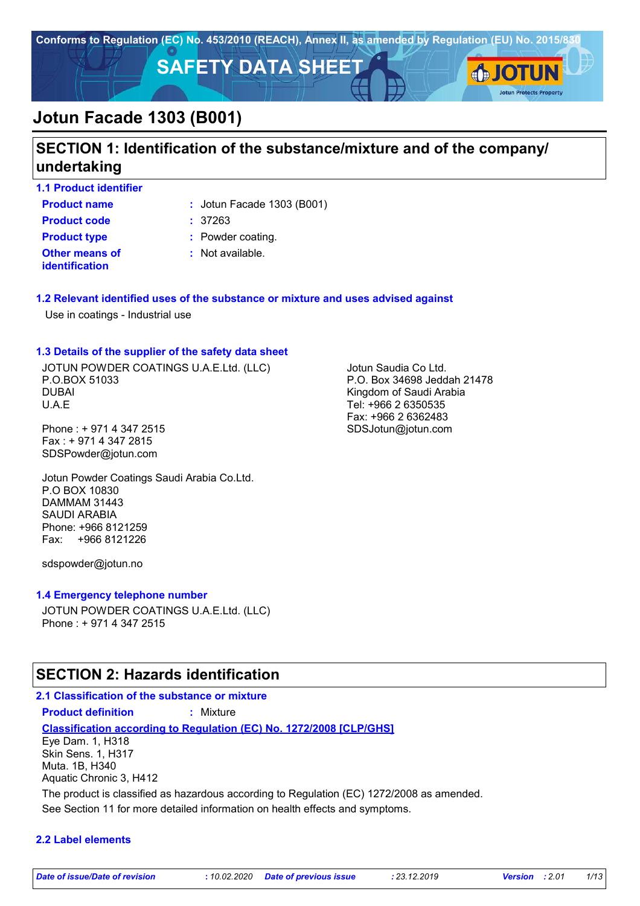

# **SECTION 1: Identification of the substance/mixture and of the company/ undertaking**

**1.1 Product identifier**

**Product name**  $\qquad$ : Jotun Facade 1303 (B001)

**Other means of identification Product code :** 37263 **Product type :** Powder coating.

**:** Not available.

#### **1.2 Relevant identified uses of the substance or mixture and uses advised against**

Use in coatings - Industrial use

#### **1.3 Details of the supplier of the safety data sheet**

JOTUN POWDER COATINGS U.A.E.Ltd. (LLC) P.O.BOX 51033 DUBAI U.A.E

Phone : + 971 4 347 2515 Fax : + 971 4 347 2815 SDSPowder@jotun.com

Jotun Powder Coatings Saudi Arabia Co.Ltd. P.O BOX 10830 DAMMAM 31443 SAUDI ARABIA Phone: +966 8121259 Fax: +966 8121226

sdspowder@jotun.no

#### **1.4 Emergency telephone number**

JOTUN POWDER COATINGS U.A.E.Ltd. (LLC) Phone : + 971 4 347 2515

## **SECTION 2: Hazards identification**

#### **2.1 Classification of the substance or mixture Product definition :** Mixture

**Classification according to Regulation (EC) No. 1272/2008 [CLP/GHS]** Eye Dam. 1, H318 Skin Sens. 1, H317

Muta. 1B, H340 Aquatic Chronic 3, H412

The product is classified as hazardous according to Regulation (EC) 1272/2008 as amended.

See Section 11 for more detailed information on health effects and symptoms.

#### **2.2 Label elements**

Jotun Saudia Co Ltd. P.O. Box 34698 Jeddah 21478 Kingdom of Saudi Arabia Tel: +966 2 6350535 Fax: +966 2 6362483 SDSJotun@jotun.com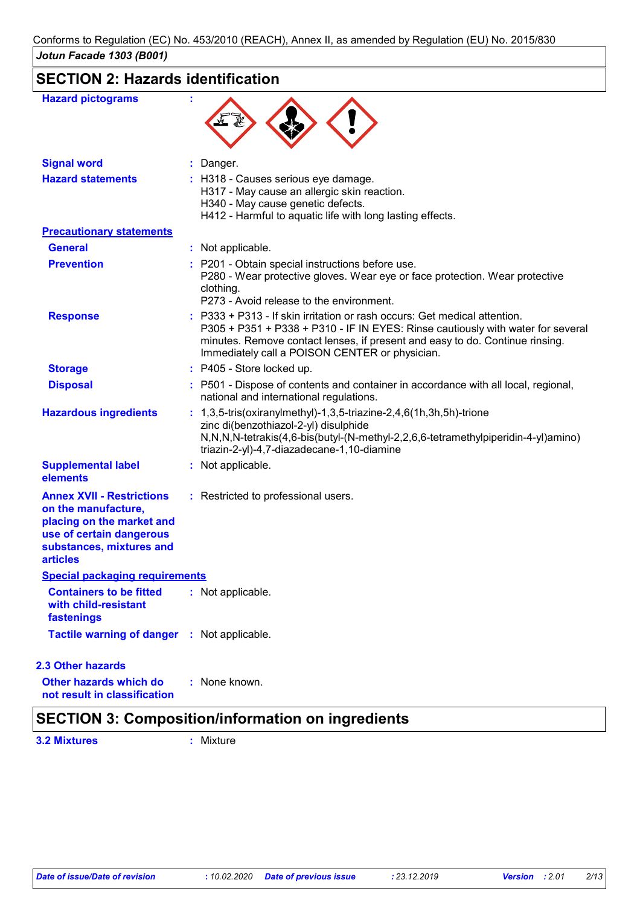# **SECTION 2: Hazards identification**

| <b>Hazard pictograms</b>                                                                                                                                        |                                                                                                                                                                                                                                                                                                |
|-----------------------------------------------------------------------------------------------------------------------------------------------------------------|------------------------------------------------------------------------------------------------------------------------------------------------------------------------------------------------------------------------------------------------------------------------------------------------|
| <b>Signal word</b>                                                                                                                                              | : Danger.                                                                                                                                                                                                                                                                                      |
| <b>Hazard statements</b>                                                                                                                                        | : H318 - Causes serious eye damage.<br>H317 - May cause an allergic skin reaction.<br>H340 - May cause genetic defects.<br>H412 - Harmful to aquatic life with long lasting effects.                                                                                                           |
| <b>Precautionary statements</b>                                                                                                                                 |                                                                                                                                                                                                                                                                                                |
| <b>General</b>                                                                                                                                                  | : Not applicable.                                                                                                                                                                                                                                                                              |
| <b>Prevention</b>                                                                                                                                               | : P201 - Obtain special instructions before use.<br>P280 - Wear protective gloves. Wear eye or face protection. Wear protective<br>clothing.<br>P273 - Avoid release to the environment.                                                                                                       |
| <b>Response</b>                                                                                                                                                 | : P333 + P313 - If skin irritation or rash occurs: Get medical attention.<br>P305 + P351 + P338 + P310 - IF IN EYES: Rinse cautiously with water for several<br>minutes. Remove contact lenses, if present and easy to do. Continue rinsing.<br>Immediately call a POISON CENTER or physician. |
| <b>Storage</b>                                                                                                                                                  | : P405 - Store locked up.                                                                                                                                                                                                                                                                      |
| <b>Disposal</b>                                                                                                                                                 | : P501 - Dispose of contents and container in accordance with all local, regional,<br>national and international regulations.                                                                                                                                                                  |
| <b>Hazardous ingredients</b>                                                                                                                                    | : $1,3,5$ -tris(oxiranylmethyl)-1,3,5-triazine-2,4,6(1h,3h,5h)-trione<br>zinc di(benzothiazol-2-yl) disulphide<br>N,N,N,N-tetrakis(4,6-bis(butyl-(N-methyl-2,2,6,6-tetramethylpiperidin-4-yl)amino)<br>triazin-2-yl)-4,7-diazadecane-1,10-diamine                                              |
| <b>Supplemental label</b><br>elements                                                                                                                           | : Not applicable.                                                                                                                                                                                                                                                                              |
| <b>Annex XVII - Restrictions</b><br>on the manufacture,<br>placing on the market and<br>use of certain dangerous<br>substances, mixtures and<br><b>articles</b> | : Restricted to professional users.                                                                                                                                                                                                                                                            |
| <b>Special packaging requirements</b>                                                                                                                           |                                                                                                                                                                                                                                                                                                |
| <b>Containers to be fitted</b><br>with child-resistant<br>fastenings                                                                                            | : Not applicable.                                                                                                                                                                                                                                                                              |
| Tactile warning of danger : Not applicable.                                                                                                                     |                                                                                                                                                                                                                                                                                                |
| <b>2.3 Other hazards</b>                                                                                                                                        |                                                                                                                                                                                                                                                                                                |
| Other hazards which do<br>not result in classification                                                                                                          | : None known.                                                                                                                                                                                                                                                                                  |

# **SECTION 3: Composition/information on ingredients**

**3.2 Mixtures :** Mixture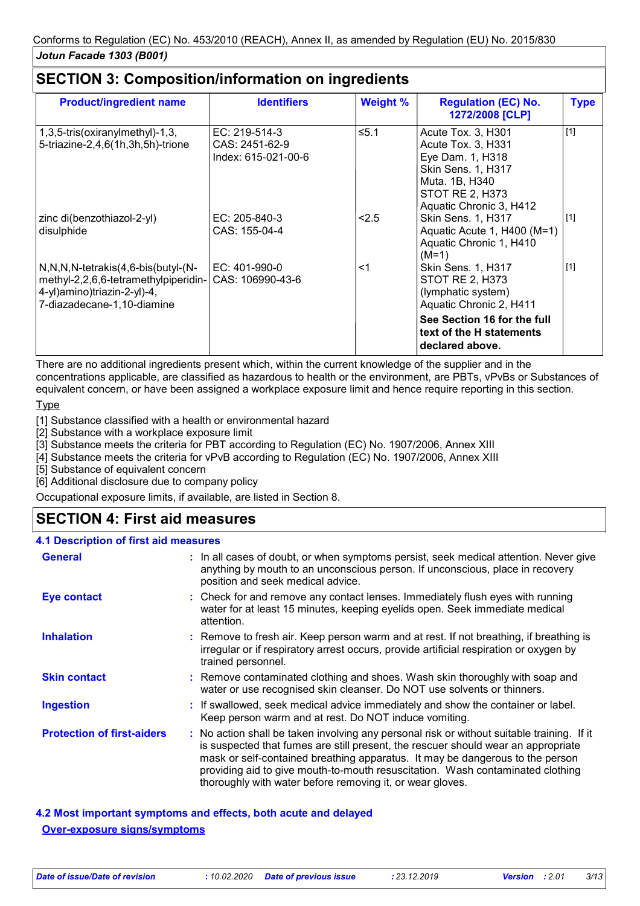| <b>Product/ingredient name</b>                                                                                                                     | <b>Identifiers</b>                                     | <b>Weight %</b> | <b>Regulation (EC) No.</b><br>1272/2008 [CLP]                                                                                                                    | <b>Type</b> |
|----------------------------------------------------------------------------------------------------------------------------------------------------|--------------------------------------------------------|-----------------|------------------------------------------------------------------------------------------------------------------------------------------------------------------|-------------|
| 1,3,5-tris(oxiranylmethyl)-1,3,<br>5-triazine-2,4,6(1h,3h,5h)-trione                                                                               | EC: 219-514-3<br>CAS: 2451-62-9<br>Index: 615-021-00-6 | $≤5.1$          | Acute Tox. 3, H301<br>Acute Tox. 3, H331<br>Eye Dam. 1, H318<br><b>Skin Sens. 1, H317</b><br>Muta. 1B, H340<br><b>STOT RE 2, H373</b><br>Aquatic Chronic 3, H412 | $[1]$       |
| zinc di(benzothiazol-2-yl)<br>disulphide                                                                                                           | EC: 205-840-3<br>CAS: 155-04-4                         | 2.5             | <b>Skin Sens. 1, H317</b><br>Aquatic Acute 1, H400 (M=1)<br>Aquatic Chronic 1, H410<br>$(M=1)$                                                                   | $[1]$       |
| $N, N, N$ -tetrakis $(4, 6$ -bis $(buty)-(N-$<br>methyl-2,2,6,6-tetramethylpiperidin-<br>4-yl)amino)triazin-2-yl)-4,<br>7-diazadecane-1,10-diamine | EC: 401-990-0<br>CAS: 106990-43-6                      | $<$ 1           | Skin Sens. 1, H317<br>STOT RE 2, H373<br>(lymphatic system)<br>Aquatic Chronic 2, H411                                                                           | $[1]$       |
|                                                                                                                                                    |                                                        |                 | See Section 16 for the full<br>text of the H statements<br>declared above.                                                                                       |             |

There are no additional ingredients present which, within the current knowledge of the supplier and in the concentrations applicable, are classified as hazardous to health or the environment, are PBTs, vPvBs or Substances of equivalent concern, or have been assigned a workplace exposure limit and hence require reporting in this section.

#### Type

[1] Substance classified with a health or environmental hazard

[2] Substance with a workplace exposure limit

[3] Substance meets the criteria for PBT according to Regulation (EC) No. 1907/2006, Annex XIII

[4] Substance meets the criteria for vPvB according to Regulation (EC) No. 1907/2006, Annex XIII

[5] Substance of equivalent concern

[6] Additional disclosure due to company policy

Occupational exposure limits, if available, are listed in Section 8.

# **SECTION 4: First aid measures**

#### **4.1 Description of first aid measures**

| <b>General</b>                    | : In all cases of doubt, or when symptoms persist, seek medical attention. Never give<br>anything by mouth to an unconscious person. If unconscious, place in recovery<br>position and seek medical advice.                                                                                                                                                                                                     |  |
|-----------------------------------|-----------------------------------------------------------------------------------------------------------------------------------------------------------------------------------------------------------------------------------------------------------------------------------------------------------------------------------------------------------------------------------------------------------------|--|
| Eye contact                       | : Check for and remove any contact lenses. Immediately flush eyes with running<br>water for at least 15 minutes, keeping eyelids open. Seek immediate medical<br>attention.                                                                                                                                                                                                                                     |  |
| <b>Inhalation</b>                 | : Remove to fresh air. Keep person warm and at rest. If not breathing, if breathing is<br>irregular or if respiratory arrest occurs, provide artificial respiration or oxygen by<br>trained personnel.                                                                                                                                                                                                          |  |
| <b>Skin contact</b>               | : Remove contaminated clothing and shoes. Wash skin thoroughly with soap and<br>water or use recognised skin cleanser. Do NOT use solvents or thinners.                                                                                                                                                                                                                                                         |  |
| <b>Ingestion</b>                  | : If swallowed, seek medical advice immediately and show the container or label.<br>Keep person warm and at rest. Do NOT induce vomiting.                                                                                                                                                                                                                                                                       |  |
| <b>Protection of first-aiders</b> | : No action shall be taken involving any personal risk or without suitable training. If it<br>is suspected that fumes are still present, the rescuer should wear an appropriate<br>mask or self-contained breathing apparatus. It may be dangerous to the person<br>providing aid to give mouth-to-mouth resuscitation. Wash contaminated clothing<br>thoroughly with water before removing it, or wear gloves. |  |

**4.2 Most important symptoms and effects, both acute and delayed Over-exposure signs/symptoms**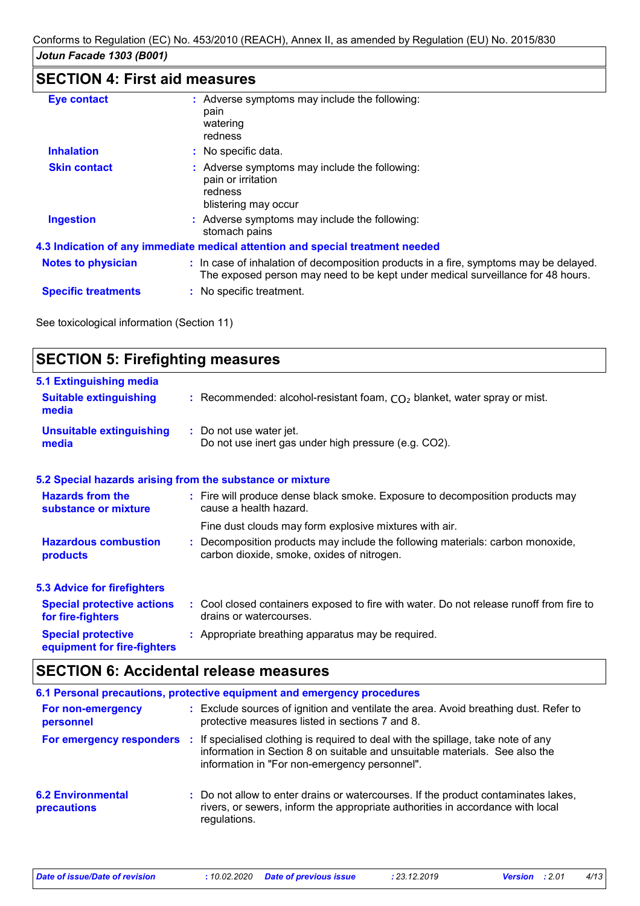# **SECTION 4: First aid measures**

| <b>Eye contact</b>         | : Adverse symptoms may include the following:<br>pain<br>watering<br>redness                                                                                             |
|----------------------------|--------------------------------------------------------------------------------------------------------------------------------------------------------------------------|
| <b>Inhalation</b>          | : No specific data.                                                                                                                                                      |
| <b>Skin contact</b>        | : Adverse symptoms may include the following:<br>pain or irritation<br>redness<br>blistering may occur                                                                   |
| <b>Ingestion</b>           | : Adverse symptoms may include the following:<br>stomach pains                                                                                                           |
|                            | 4.3 Indication of any immediate medical attention and special treatment needed                                                                                           |
| <b>Notes to physician</b>  | : In case of inhalation of decomposition products in a fire, symptoms may be delayed.<br>The exposed person may need to be kept under medical surveillance for 48 hours. |
| <b>Specific treatments</b> | : No specific treatment.                                                                                                                                                 |

See toxicological information (Section 11)

| <b>5.1 Extinguishing media</b><br><b>Suitable extinguishing</b><br>: Recommended: alcohol-resistant foam, $CO2$ blanket, water spray or mist.<br>media<br><b>Unsuitable extinguishing</b><br>: Do not use water jet.<br>Do not use inert gas under high pressure (e.g. CO2).<br>media<br>5.2 Special hazards arising from the substance or mixture<br><b>Hazards from the</b><br>: Fire will produce dense black smoke. Exposure to decomposition products may<br>cause a health hazard.<br>substance or mixture<br>Fine dust clouds may form explosive mixtures with air.<br><b>Hazardous combustion</b><br>: Decomposition products may include the following materials: carbon monoxide,<br>carbon dioxide, smoke, oxides of nitrogen.<br>products<br><b>5.3 Advice for firefighters</b><br>: Cool closed containers exposed to fire with water. Do not release runoff from fire to<br><b>Special protective actions</b><br>drains or watercourses.<br>for fire-fighters<br><b>Special protective</b><br>: Appropriate breathing apparatus may be required.<br>equipment for fire-fighters | <b>SECTION 5: Firefighting measures</b> |  |
|-----------------------------------------------------------------------------------------------------------------------------------------------------------------------------------------------------------------------------------------------------------------------------------------------------------------------------------------------------------------------------------------------------------------------------------------------------------------------------------------------------------------------------------------------------------------------------------------------------------------------------------------------------------------------------------------------------------------------------------------------------------------------------------------------------------------------------------------------------------------------------------------------------------------------------------------------------------------------------------------------------------------------------------------------------------------------------------------------|-----------------------------------------|--|
|                                                                                                                                                                                                                                                                                                                                                                                                                                                                                                                                                                                                                                                                                                                                                                                                                                                                                                                                                                                                                                                                                               |                                         |  |
|                                                                                                                                                                                                                                                                                                                                                                                                                                                                                                                                                                                                                                                                                                                                                                                                                                                                                                                                                                                                                                                                                               |                                         |  |
|                                                                                                                                                                                                                                                                                                                                                                                                                                                                                                                                                                                                                                                                                                                                                                                                                                                                                                                                                                                                                                                                                               |                                         |  |
|                                                                                                                                                                                                                                                                                                                                                                                                                                                                                                                                                                                                                                                                                                                                                                                                                                                                                                                                                                                                                                                                                               |                                         |  |
|                                                                                                                                                                                                                                                                                                                                                                                                                                                                                                                                                                                                                                                                                                                                                                                                                                                                                                                                                                                                                                                                                               |                                         |  |
|                                                                                                                                                                                                                                                                                                                                                                                                                                                                                                                                                                                                                                                                                                                                                                                                                                                                                                                                                                                                                                                                                               |                                         |  |
|                                                                                                                                                                                                                                                                                                                                                                                                                                                                                                                                                                                                                                                                                                                                                                                                                                                                                                                                                                                                                                                                                               |                                         |  |
|                                                                                                                                                                                                                                                                                                                                                                                                                                                                                                                                                                                                                                                                                                                                                                                                                                                                                                                                                                                                                                                                                               |                                         |  |
|                                                                                                                                                                                                                                                                                                                                                                                                                                                                                                                                                                                                                                                                                                                                                                                                                                                                                                                                                                                                                                                                                               |                                         |  |

# **SECTION 6: Accidental release measures**

|                                         | 6.1 Personal precautions, protective equipment and emergency procedures                                                                                                                                           |
|-----------------------------------------|-------------------------------------------------------------------------------------------------------------------------------------------------------------------------------------------------------------------|
| For non-emergency<br>personnel          | : Exclude sources of ignition and ventilate the area. Avoid breathing dust. Refer to<br>protective measures listed in sections 7 and 8.                                                                           |
| For emergency responders                | : If specialised clothing is required to deal with the spillage, take note of any<br>information in Section 8 on suitable and unsuitable materials. See also the<br>information in "For non-emergency personnel". |
| <b>6.2 Environmental</b><br>precautions | : Do not allow to enter drains or watercourses. If the product contaminates lakes,<br>rivers, or sewers, inform the appropriate authorities in accordance with local<br>regulations.                              |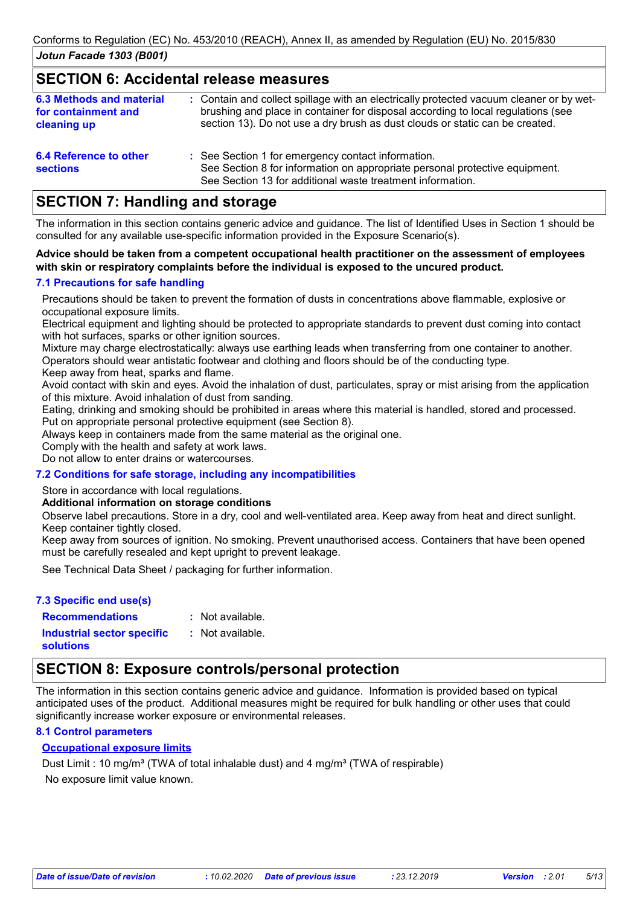#### **SECTION 6: Accidental release measures**

| <b>6.3 Methods and material</b><br>for containment and<br>cleaning up | : Contain and collect spillage with an electrically protected vacuum cleaner or by wet-<br>brushing and place in container for disposal according to local regulations (see<br>section 13). Do not use a dry brush as dust clouds or static can be created. |
|-----------------------------------------------------------------------|-------------------------------------------------------------------------------------------------------------------------------------------------------------------------------------------------------------------------------------------------------------|
| 6.4 Reference to other<br><b>sections</b>                             | : See Section 1 for emergency contact information.<br>See Section 8 for information on appropriate personal protective equipment.<br>See Section 13 for additional waste treatment information.                                                             |

## **SECTION 7: Handling and storage**

The information in this section contains generic advice and guidance. The list of Identified Uses in Section 1 should be consulted for any available use-specific information provided in the Exposure Scenario(s).

#### **Advice should be taken from a competent occupational health practitioner on the assessment of employees with skin or respiratory complaints before the individual is exposed to the uncured product.**

#### **7.1 Precautions for safe handling**

Precautions should be taken to prevent the formation of dusts in concentrations above flammable, explosive or occupational exposure limits.

Electrical equipment and lighting should be protected to appropriate standards to prevent dust coming into contact with hot surfaces, sparks or other ignition sources.

Mixture may charge electrostatically: always use earthing leads when transferring from one container to another. Operators should wear antistatic footwear and clothing and floors should be of the conducting type.

Keep away from heat, sparks and flame.

Avoid contact with skin and eyes. Avoid the inhalation of dust, particulates, spray or mist arising from the application of this mixture. Avoid inhalation of dust from sanding.

Eating, drinking and smoking should be prohibited in areas where this material is handled, stored and processed. Put on appropriate personal protective equipment (see Section 8).

Always keep in containers made from the same material as the original one.

Comply with the health and safety at work laws.

Do not allow to enter drains or watercourses.

#### **7.2 Conditions for safe storage, including any incompatibilities**

Store in accordance with local regulations.

#### **Additional information on storage conditions**

Observe label precautions. Store in a dry, cool and well-ventilated area. Keep away from heat and direct sunlight. Keep container tightly closed.

Keep away from sources of ignition. No smoking. Prevent unauthorised access. Containers that have been opened must be carefully resealed and kept upright to prevent leakage.

See Technical Data Sheet / packaging for further information.

#### **7.3 Specific end use(s)**

: Not available. : Not available.

**Recommendations : Industrial sector specific : solutions**

# **SECTION 8: Exposure controls/personal protection**

The information in this section contains generic advice and guidance. Information is provided based on typical anticipated uses of the product. Additional measures might be required for bulk handling or other uses that could significantly increase worker exposure or environmental releases.

#### **8.1 Control parameters**

#### **Occupational exposure limits**

No exposure limit value known. Dust Limit : 10 mg/m<sup>3</sup> (TWA of total inhalable dust) and 4 mg/m<sup>3</sup> (TWA of respirable)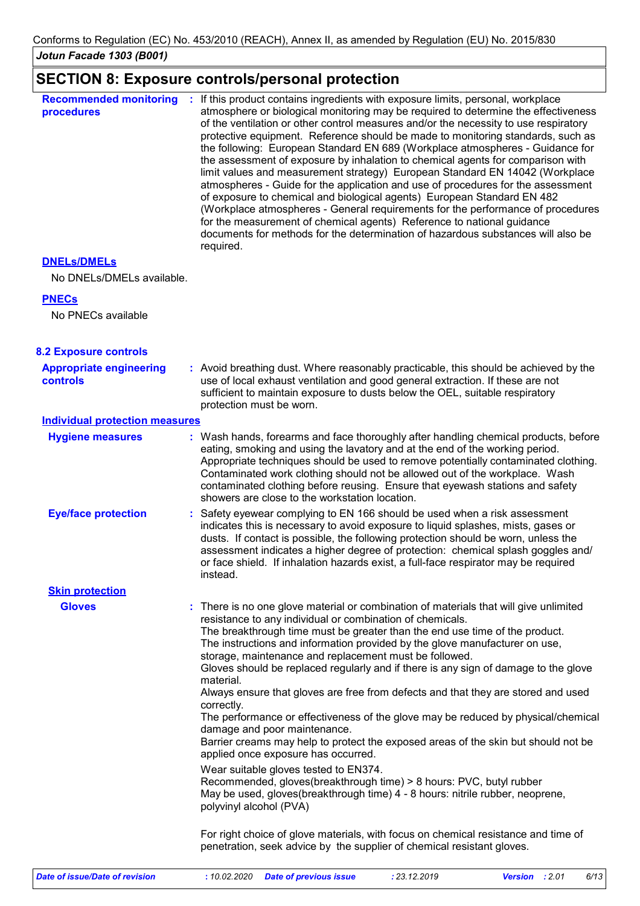# **SECTION 8: Exposure controls/personal protection**

| <b>Recommended monitoring</b><br>procedures | If this product contains ingredients with exposure limits, personal, workplace<br>atmosphere or biological monitoring may be required to determine the effectiveness<br>of the ventilation or other control measures and/or the necessity to use respiratory<br>protective equipment. Reference should be made to monitoring standards, such as<br>the following: European Standard EN 689 (Workplace atmospheres - Guidance for<br>the assessment of exposure by inhalation to chemical agents for comparison with<br>limit values and measurement strategy) European Standard EN 14042 (Workplace<br>atmospheres - Guide for the application and use of procedures for the assessment<br>of exposure to chemical and biological agents) European Standard EN 482<br>(Workplace atmospheres - General requirements for the performance of procedures<br>for the measurement of chemical agents) Reference to national guidance<br>documents for methods for the determination of hazardous substances will also be<br>required. |
|---------------------------------------------|----------------------------------------------------------------------------------------------------------------------------------------------------------------------------------------------------------------------------------------------------------------------------------------------------------------------------------------------------------------------------------------------------------------------------------------------------------------------------------------------------------------------------------------------------------------------------------------------------------------------------------------------------------------------------------------------------------------------------------------------------------------------------------------------------------------------------------------------------------------------------------------------------------------------------------------------------------------------------------------------------------------------------------|
|---------------------------------------------|----------------------------------------------------------------------------------------------------------------------------------------------------------------------------------------------------------------------------------------------------------------------------------------------------------------------------------------------------------------------------------------------------------------------------------------------------------------------------------------------------------------------------------------------------------------------------------------------------------------------------------------------------------------------------------------------------------------------------------------------------------------------------------------------------------------------------------------------------------------------------------------------------------------------------------------------------------------------------------------------------------------------------------|

#### **DNELs/DMELs**

No DNELs/DMELs available.

#### **PNECs**

No PNECs available

| <b>8.2 Exposure controls</b>               |                                                                                                                                                                                                                                                                                                                                                                                                                                                                                                                                                                                                                                                                                                                                                                                                                                                                                                                                                                                                                                                                 |
|--------------------------------------------|-----------------------------------------------------------------------------------------------------------------------------------------------------------------------------------------------------------------------------------------------------------------------------------------------------------------------------------------------------------------------------------------------------------------------------------------------------------------------------------------------------------------------------------------------------------------------------------------------------------------------------------------------------------------------------------------------------------------------------------------------------------------------------------------------------------------------------------------------------------------------------------------------------------------------------------------------------------------------------------------------------------------------------------------------------------------|
| <b>Appropriate engineering</b><br>controls | : Avoid breathing dust. Where reasonably practicable, this should be achieved by the<br>use of local exhaust ventilation and good general extraction. If these are not<br>sufficient to maintain exposure to dusts below the OEL, suitable respiratory<br>protection must be worn.                                                                                                                                                                                                                                                                                                                                                                                                                                                                                                                                                                                                                                                                                                                                                                              |
| <b>Individual protection measures</b>      |                                                                                                                                                                                                                                                                                                                                                                                                                                                                                                                                                                                                                                                                                                                                                                                                                                                                                                                                                                                                                                                                 |
| <b>Hygiene measures</b>                    | : Wash hands, forearms and face thoroughly after handling chemical products, before<br>eating, smoking and using the lavatory and at the end of the working period.<br>Appropriate techniques should be used to remove potentially contaminated clothing.<br>Contaminated work clothing should not be allowed out of the workplace. Wash<br>contaminated clothing before reusing. Ensure that eyewash stations and safety<br>showers are close to the workstation location.                                                                                                                                                                                                                                                                                                                                                                                                                                                                                                                                                                                     |
| <b>Eye/face protection</b>                 | : Safety eyewear complying to EN 166 should be used when a risk assessment<br>indicates this is necessary to avoid exposure to liquid splashes, mists, gases or<br>dusts. If contact is possible, the following protection should be worn, unless the<br>assessment indicates a higher degree of protection: chemical splash goggles and/<br>or face shield. If inhalation hazards exist, a full-face respirator may be required<br>instead.                                                                                                                                                                                                                                                                                                                                                                                                                                                                                                                                                                                                                    |
| <b>Skin protection</b>                     |                                                                                                                                                                                                                                                                                                                                                                                                                                                                                                                                                                                                                                                                                                                                                                                                                                                                                                                                                                                                                                                                 |
| <b>Gloves</b>                              | : There is no one glove material or combination of materials that will give unlimited<br>resistance to any individual or combination of chemicals.<br>The breakthrough time must be greater than the end use time of the product.<br>The instructions and information provided by the glove manufacturer on use,<br>storage, maintenance and replacement must be followed.<br>Gloves should be replaced regularly and if there is any sign of damage to the glove<br>material.<br>Always ensure that gloves are free from defects and that they are stored and used<br>correctly.<br>The performance or effectiveness of the glove may be reduced by physical/chemical<br>damage and poor maintenance.<br>Barrier creams may help to protect the exposed areas of the skin but should not be<br>applied once exposure has occurred.<br>Wear suitable gloves tested to EN374.<br>Recommended, gloves(breakthrough time) > 8 hours: PVC, butyl rubber<br>May be used, gloves(breakthrough time) 4 - 8 hours: nitrile rubber, neoprene,<br>polyvinyl alcohol (PVA) |
|                                            | For right choice of glove materials, with focus on chemical resistance and time of<br>penetration, seek advice by the supplier of chemical resistant gloves.                                                                                                                                                                                                                                                                                                                                                                                                                                                                                                                                                                                                                                                                                                                                                                                                                                                                                                    |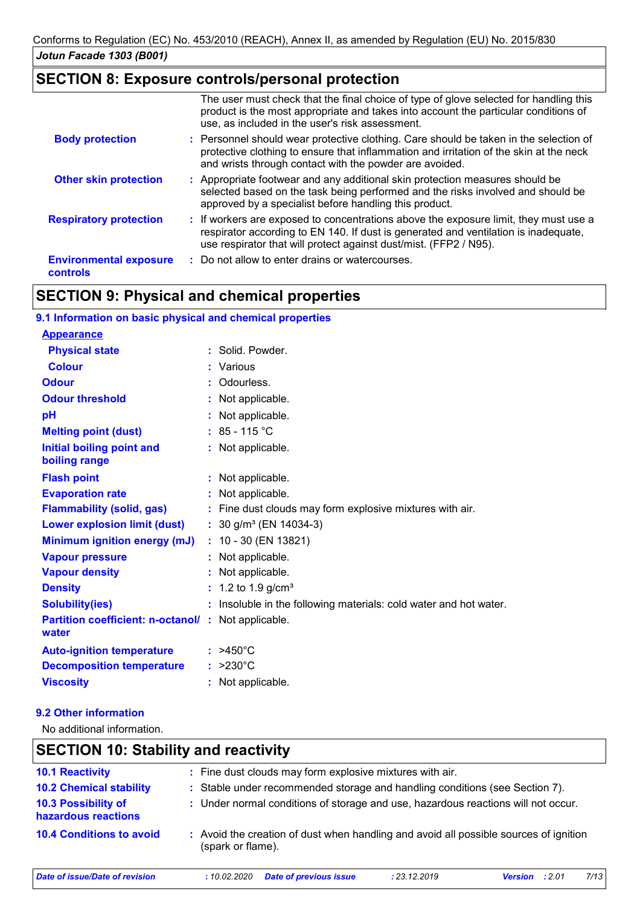# **SECTION 8: Exposure controls/personal protection**

|                                                  | The user must check that the final choice of type of glove selected for handling this<br>product is the most appropriate and takes into account the particular conditions of<br>use, as included in the user's risk assessment.                  |
|--------------------------------------------------|--------------------------------------------------------------------------------------------------------------------------------------------------------------------------------------------------------------------------------------------------|
| <b>Body protection</b>                           | : Personnel should wear protective clothing. Care should be taken in the selection of<br>protective clothing to ensure that inflammation and irritation of the skin at the neck<br>and wrists through contact with the powder are avoided.       |
| <b>Other skin protection</b>                     | : Appropriate footwear and any additional skin protection measures should be<br>selected based on the task being performed and the risks involved and should be<br>approved by a specialist before handling this product.                        |
| <b>Respiratory protection</b>                    | : If workers are exposed to concentrations above the exposure limit, they must use a<br>respirator according to EN 140. If dust is generated and ventilation is inadequate,<br>use respirator that will protect against dust/mist. (FFP2 / N95). |
| <b>Environmental exposure</b><br><b>controls</b> | : Do not allow to enter drains or watercourses.                                                                                                                                                                                                  |

# **SECTION 9: Physical and chemical properties**

| 9.1 Information on basic physical and chemical properties           |                                                                   |
|---------------------------------------------------------------------|-------------------------------------------------------------------|
| <b>Appearance</b>                                                   |                                                                   |
| <b>Physical state</b>                                               | : Solid. Powder.                                                  |
| <b>Colour</b>                                                       | : Various                                                         |
| <b>Odour</b>                                                        | : Odourless.                                                      |
| <b>Odour threshold</b>                                              | : Not applicable.                                                 |
| pH                                                                  | : Not applicable.                                                 |
| <b>Melting point (dust)</b>                                         | $: 85 - 115 °C$                                                   |
| Initial boiling point and<br>boiling range                          | : Not applicable.                                                 |
| <b>Flash point</b>                                                  | : Not applicable.                                                 |
| <b>Evaporation rate</b>                                             | : Not applicable.                                                 |
| <b>Flammability (solid, gas)</b>                                    | : Fine dust clouds may form explosive mixtures with air.          |
| <b>Lower explosion limit (dust)</b>                                 | : $30$ g/m <sup>3</sup> (EN 14034-3)                              |
| <b>Minimum ignition energy (mJ)</b>                                 | $: 10 - 30$ (EN 13821)                                            |
| <b>Vapour pressure</b>                                              | : Not applicable.                                                 |
| <b>Vapour density</b>                                               | : Not applicable.                                                 |
| <b>Density</b>                                                      | : 1.2 to 1.9 $g/cm3$                                              |
| <b>Solubility(ies)</b>                                              | : Insoluble in the following materials: cold water and hot water. |
| <b>Partition coefficient: n-octanol/ : Not applicable.</b><br>water |                                                                   |
| <b>Auto-ignition temperature</b>                                    | $: >450^{\circ}$ C                                                |
| <b>Decomposition temperature</b>                                    | $: >230^{\circ}$ C                                                |
| <b>Viscosity</b>                                                    | : Not applicable.                                                 |

#### **9.2 Other information**

No additional information.

| <b>SECTION 10: Stability and reactivity</b> |                                                                                                            |      |
|---------------------------------------------|------------------------------------------------------------------------------------------------------------|------|
| <b>10.1 Reactivity</b>                      | : Fine dust clouds may form explosive mixtures with air.                                                   |      |
| <b>10.2 Chemical stability</b>              | : Stable under recommended storage and handling conditions (see Section 7).                                |      |
| 10.3 Possibility of<br>hazardous reactions  | : Under normal conditions of storage and use, hazardous reactions will not occur.                          |      |
| <b>10.4 Conditions to avoid</b>             | : Avoid the creation of dust when handling and avoid all possible sources of ignition<br>(spark or flame). |      |
| Date of issue/Date of revision              | <b>Date of previous issue</b><br>: 23.12.2019<br>:10.02.2020<br>:201<br><b>Version</b>                     | 7/13 |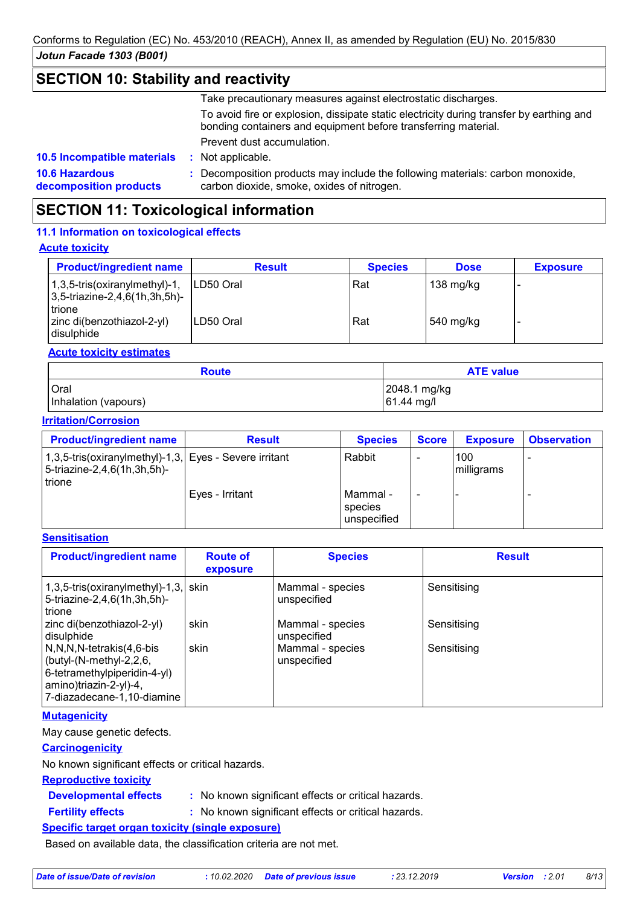### **SECTION 10: Stability and reactivity**

Take precautionary measures against electrostatic discharges.

To avoid fire or explosion, dissipate static electricity during transfer by earthing and bonding containers and equipment before transferring material.

Prevent dust accumulation.

: Not applicable.

**10.6 Hazardous decomposition products 10.5 Incompatible materials :**

**:** Decomposition products may include the following materials: carbon monoxide, carbon dioxide, smoke, oxides of nitrogen.

# **SECTION 11: Toxicological information**

#### **11.1 Information on toxicological effects**

#### **Acute toxicity**

| <b>Product/ingredient name</b>                                                    | <b>Result</b> | <b>Species</b> | <b>Dose</b>       | <b>Exposure</b> |
|-----------------------------------------------------------------------------------|---------------|----------------|-------------------|-----------------|
| $1,3,5$ -tris(oxiranylmethyl)-1,<br>$ 3,5$ -triazine-2,4,6(1h,3h,5h)-<br>l trione | ILD50 Oral    | Rat            | 138 mg/kg         |                 |
| zinc di(benzothiazol-2-yl)<br>disulphide                                          | ILD50 Oral    | Rat            | $\vert$ 540 mg/kg |                 |

#### **Acute toxicity estimates**

| <b>Route</b>         | <b>ATE value</b>       |
|----------------------|------------------------|
| <b>Oral</b>          | 2048.1 mg/kg           |
| Inhalation (vapours) | $ 61.44 \text{ mg}/I $ |

#### **Irritation/Corrosion**

| <b>Product/ingredient name</b>                                                                  | <b>Result</b>   | <b>Species</b>                     | <b>Score</b> | <b>Exposure</b>   | <b>Observation</b> |
|-------------------------------------------------------------------------------------------------|-----------------|------------------------------------|--------------|-------------------|--------------------|
| 1,3,5-tris(oxiranylmethyl)-1,3, Eyes - Severe irritant<br>5-triazine-2,4,6(1h,3h,5h)-<br>trione |                 | Rabbit                             |              | 100<br>milligrams |                    |
|                                                                                                 | Eyes - Irritant | Mammal -<br>species<br>unspecified |              |                   |                    |

#### **Sensitisation**

| <b>Product/ingredient name</b>                                                                                                                      | <b>Route of</b><br>exposure | <b>Species</b>                  | <b>Result</b> |
|-----------------------------------------------------------------------------------------------------------------------------------------------------|-----------------------------|---------------------------------|---------------|
| $1,3,5$ -tris(oxiranylmethyl)-1,3, skin<br>5-triazine-2,4,6(1h,3h,5h)-<br>l trione                                                                  |                             | Mammal - species<br>unspecified | Sensitising   |
| zinc di(benzothiazol-2-yl)<br>disulphide                                                                                                            | skin                        | Mammal - species<br>unspecified | Sensitising   |
| N,N,N,N-tetrakis(4,6-bis<br>$\vert$ (butyl-(N-methyl-2,2,6,<br>6-tetramethylpiperidin-4-yl)<br>amino)triazin-2-yl)-4,<br>7-diazadecane-1,10-diamine | skin                        | Mammal - species<br>unspecified | Sensitising   |

#### **Mutagenicity**

May cause genetic defects.

#### **Carcinogenicity**

No known significant effects or critical hazards.

#### **Reproductive toxicity**

- **Developmental effects :**
- : No known significant effects or critical hazards.
- **Fertility effects :**
- : No known significant effects or critical hazards.

#### **Specific target organ toxicity (single exposure)**

Based on available data, the classification criteria are not met.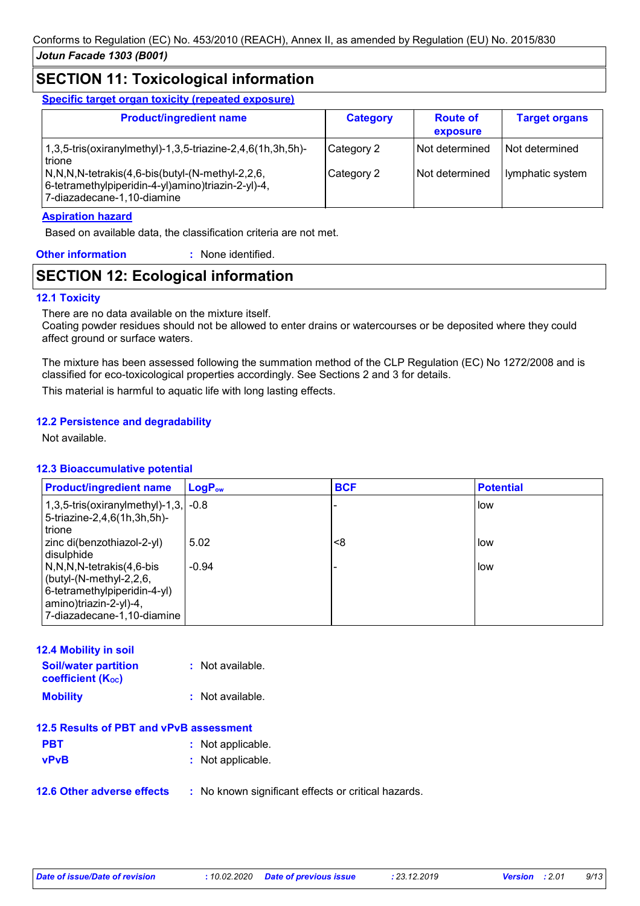# **SECTION 11: Toxicological information**

**Specific target organ toxicity (repeated exposure)**

| <b>Product/ingredient name</b>                                                                                                                                                                                                  | <b>Category</b>          | <b>Route of</b><br>exposure      | <b>Target organs</b>               |
|---------------------------------------------------------------------------------------------------------------------------------------------------------------------------------------------------------------------------------|--------------------------|----------------------------------|------------------------------------|
| 1,3,5-tris(oxiranylmethyl)-1,3,5-triazine-2,4,6(1h,3h,5h)-<br>trione<br>$\sqrt{N,N,N}$ -tetrakis $(4,6$ -bis $\frac{N-1}{N}$ -methyl-2,2,6,<br>6-tetramethylpiperidin-4-yl)amino)triazin-2-yl)-4,<br>7-diazadecane-1,10-diamine | Category 2<br>Category 2 | Not determined<br>Not determined | Not determined<br>lymphatic system |

#### **Aspiration hazard**

Based on available data, the classification criteria are not met.

| <b>Other information</b> | : None identified. |
|--------------------------|--------------------|
|                          |                    |

# **SECTION 12: Ecological information**

#### **12.1 Toxicity**

There are no data available on the mixture itself.

Coating powder residues should not be allowed to enter drains or watercourses or be deposited where they could affect ground or surface waters.

The mixture has been assessed following the summation method of the CLP Regulation (EC) No 1272/2008 and is classified for eco-toxicological properties accordingly. See Sections 2 and 3 for details.

This material is harmful to aquatic life with long lasting effects.

#### **12.2 Persistence and degradability**

Not available.

#### **12.3 Bioaccumulative potential**

| <b>Product/ingredient name</b>                                                                                                                  | $LogP_{ow}$ | <b>BCF</b> | <b>Potential</b> |
|-------------------------------------------------------------------------------------------------------------------------------------------------|-------------|------------|------------------|
| $1,3,5$ -tris(oxiranylmethyl)-1,3, -0.8<br>5-triazine-2,4,6(1h,3h,5h)-<br>trione                                                                |             |            | i low            |
| zinc di(benzothiazol-2-yl)<br>disulphide                                                                                                        | 5.02        | <8         | low              |
| N,N,N,N-tetrakis(4,6-bis<br>(butyl- $(N$ -methyl-2,2,6,<br>6-tetramethylpiperidin-4-yl)<br>amino)triazin-2-yl)-4,<br>7-diazadecane-1,10-diamine | $-0.94$     |            | low.             |

| <b>12.4 Mobility in soil</b>                            |                    |
|---------------------------------------------------------|--------------------|
| <b>Soil/water partition</b><br><b>coefficient (Koc)</b> | $:$ Not available. |
| <b>Mobility</b>                                         | : Not available.   |
| 12.5 Results of PBT and vPvB assessment                 |                    |
| <b>PBT</b>                                              | : Not applicable.  |
| <b>vPvB</b>                                             | : Not applicable.  |

**12.6 Other adverse effects** : No known significant effects or critical hazards.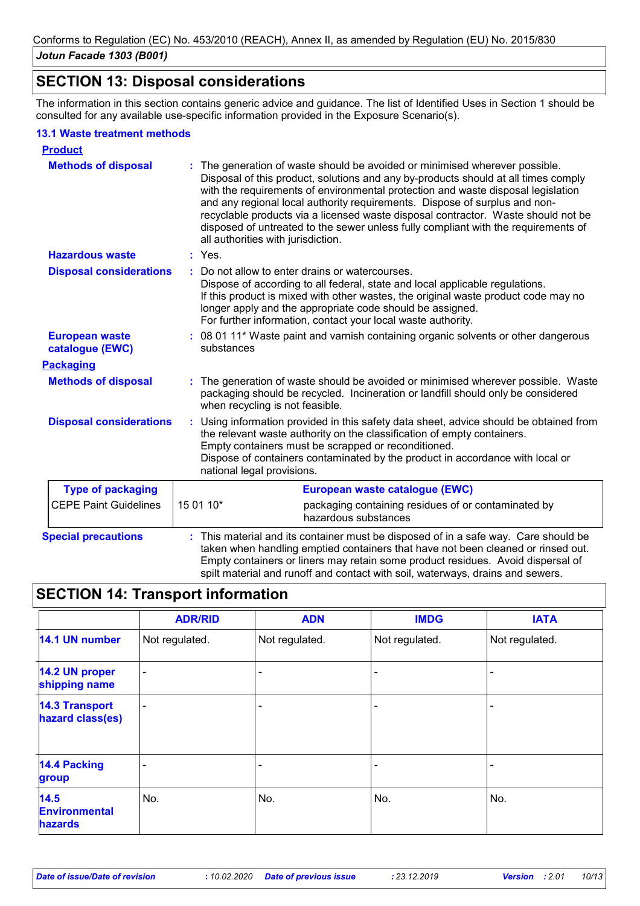## **SECTION 13: Disposal considerations**

The information in this section contains generic advice and guidance. The list of Identified Uses in Section 1 should be consulted for any available use-specific information provided in the Exposure Scenario(s).

#### **13.1 Waste treatment methods**

| <b>Product</b>                           |                                                                                                                                                                                                                                                                                                                                                                                                                                                                                                                                                    |
|------------------------------------------|----------------------------------------------------------------------------------------------------------------------------------------------------------------------------------------------------------------------------------------------------------------------------------------------------------------------------------------------------------------------------------------------------------------------------------------------------------------------------------------------------------------------------------------------------|
| <b>Methods of disposal</b>               | The generation of waste should be avoided or minimised wherever possible.<br>Disposal of this product, solutions and any by-products should at all times comply<br>with the requirements of environmental protection and waste disposal legislation<br>and any regional local authority requirements. Dispose of surplus and non-<br>recyclable products via a licensed waste disposal contractor. Waste should not be<br>disposed of untreated to the sewer unless fully compliant with the requirements of<br>all authorities with jurisdiction. |
| <b>Hazardous waste</b>                   | : Yes.                                                                                                                                                                                                                                                                                                                                                                                                                                                                                                                                             |
| <b>Disposal considerations</b>           | Do not allow to enter drains or watercourses.<br>÷.<br>Dispose of according to all federal, state and local applicable regulations.<br>If this product is mixed with other wastes, the original waste product code may no<br>longer apply and the appropriate code should be assigned.<br>For further information, contact your local waste authority.                                                                                                                                                                                             |
| <b>European waste</b><br>catalogue (EWC) | : 08 01 11* Waste paint and varnish containing organic solvents or other dangerous<br>substances                                                                                                                                                                                                                                                                                                                                                                                                                                                   |
| <b>Packaging</b>                         |                                                                                                                                                                                                                                                                                                                                                                                                                                                                                                                                                    |
| <b>Methods of disposal</b>               | The generation of waste should be avoided or minimised wherever possible. Waste<br>packaging should be recycled. Incineration or landfill should only be considered<br>when recycling is not feasible.                                                                                                                                                                                                                                                                                                                                             |
| <b>Disposal considerations</b>           | Using information provided in this safety data sheet, advice should be obtained from<br>÷.<br>the relevant waste authority on the classification of empty containers.<br>Empty containers must be scrapped or reconditioned.<br>Dispose of containers contaminated by the product in accordance with local or<br>national legal provisions.                                                                                                                                                                                                        |
| <b>Type of packaging</b>                 | European waste catalogue (EWC)                                                                                                                                                                                                                                                                                                                                                                                                                                                                                                                     |
| <b>CEPE Paint Guidelines</b>             | 15 01 10*<br>packaging containing residues of or contaminated by<br>hazardous substances                                                                                                                                                                                                                                                                                                                                                                                                                                                           |
| <b>Special precautions</b>               | This material and its container must be disposed of in a safe way. Care should be<br>taken when handling emptied containers that have not been cleaned or rinsed out.<br>Empty containers or liners may retain some product residues. Avoid dispersal of<br>spilt material and runoff and contact with soil, waterways, drains and sewers.                                                                                                                                                                                                         |

# **SECTION 14: Transport information**

|                                           | <b>ADR/RID</b>           | <b>ADN</b>     | <b>IMDG</b>    | <b>IATA</b>    |
|-------------------------------------------|--------------------------|----------------|----------------|----------------|
| 14.1 UN number                            | Not regulated.           | Not regulated. | Not regulated. | Not regulated. |
| 14.2 UN proper<br>shipping name           | $\overline{\phantom{a}}$ |                |                |                |
| <b>14.3 Transport</b><br>hazard class(es) | $\overline{\phantom{0}}$ |                |                |                |
| <b>14.4 Packing</b><br>group              |                          |                |                |                |
| 14.5<br><b>Environmental</b><br>hazards   | No.                      | No.            | No.            | No.            |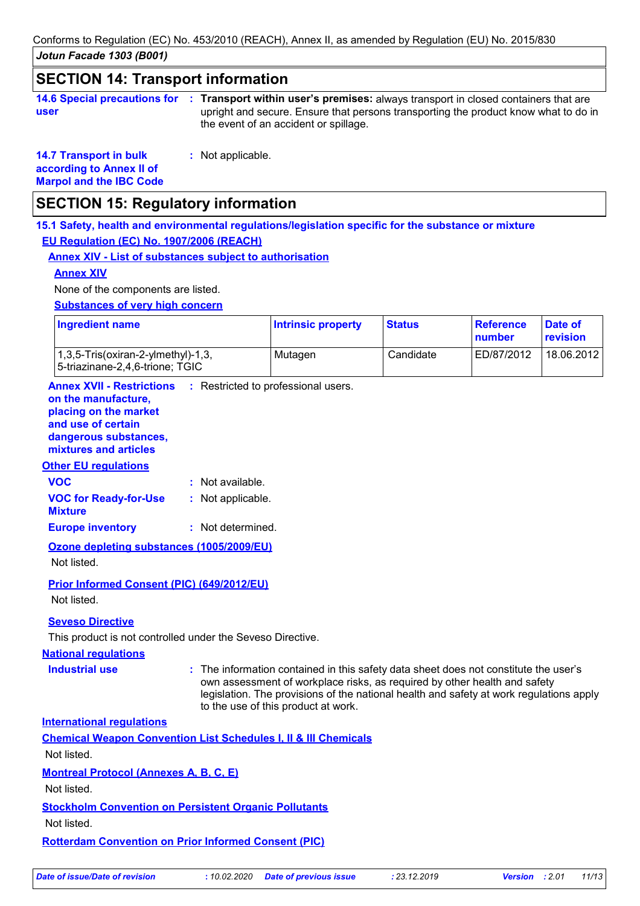*Jotun Facade 1303 (B001)* Conforms to Regulation (EC) No. 453/2010 (REACH), Annex II, as amended by Regulation (EU) No. 2015/830

### **SECTION 14: Transport information**

| 14.6 Special precautions for : Tr |    |
|-----------------------------------|----|
| user                              | ur |

**Transport within user's premises:** always transport in closed containers that are **:** upright and secure. Ensure that persons transporting the product know what to do in the event of an accident or spillage.

**14.7 Transport in bulk according to Annex II of Marpol and the IBC Code**

**:** Not applicable.

# **SECTION 15: Regulatory information**

**15.1 Safety, health and environmental regulations/legislation specific for the substance or mixture EU Regulation (EC) No. 1907/2006 (REACH)**

#### **Annex XIV - List of substances subject to authorisation**

#### **Annex XIV**

None of the components are listed.

**Substances of very high concern**

| <b>Ingredient name</b>                                                                 | <b>Intrinsic property</b> | <b>Status</b> | Reference<br>number | Date of<br><b>revision</b> |
|----------------------------------------------------------------------------------------|---------------------------|---------------|---------------------|----------------------------|
| $(1,3,5\text{-}Tris(oxiran-2\text{-}vImethyl)-1,3)$<br>5-triazinane-2,4,6-trione; TGIC | Mutagen                   | Candidate     | ED/87/2012          | 18.06.2012                 |

**Annex XVII - Restrictions** : Restricted to professional users.

#### **on the manufacture, placing on the market**

**and use of certain** 

**dangerous substances,**

# **mixtures and articles**

#### **Other EU regulations**

| <b>VOC</b>                   | : Not available.  |
|------------------------------|-------------------|
| <b>VOC for Ready-for-Use</b> | : Not applicable. |
| <b>Mixture</b>               |                   |
| <b>Europe inventory</b>      | : Not determined. |

**Ozone depleting substances (1005/2009/EU)** Not listed.

**Prior Informed Consent (PIC) (649/2012/EU)** Not listed.

#### **Seveso Directive**

This product is not controlled under the Seveso Directive.

#### **National regulations**

**Industrial use <b>:** The information contained in this safety data sheet does not constitute the user's own assessment of workplace risks, as required by other health and safety legislation. The provisions of the national health and safety at work regulations apply to the use of this product at work.

**International regulations**

| <b>Chemical Weapon Convention List Schedules I, II &amp; III Chemicals</b> |
|----------------------------------------------------------------------------|
|----------------------------------------------------------------------------|

Not listed.

**Montreal Protocol (Annexes A, B, C, E)**

Not listed.

#### **Stockholm Convention on Persistent Organic Pollutants**

Not listed.

**Rotterdam Convention on Prior Informed Consent (PIC)**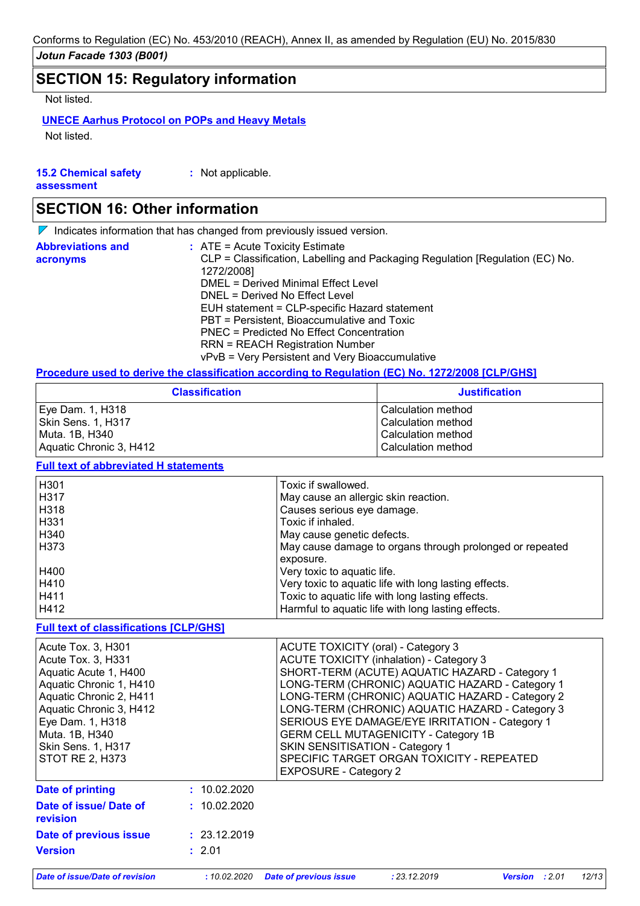# **SECTION 15: Regulatory information**

Not listed.

#### **UNECE Aarhus Protocol on POPs and Heavy Metals**

Not listed.

| <b>15.2 Chemical safety</b> | : Not applicable. |
|-----------------------------|-------------------|
| assessment                  |                   |

### **SECTION 16: Other information**

 $\nabla$  Indicates information that has changed from previously issued version.

| <b>Abbreviations and</b><br>acronyms | $\therefore$ ATE = Acute Toxicity Estimate<br>CLP = Classification, Labelling and Packaging Regulation [Regulation (EC) No.<br>1272/2008] |
|--------------------------------------|-------------------------------------------------------------------------------------------------------------------------------------------|
|                                      | DMEL = Derived Minimal Effect Level                                                                                                       |
|                                      | DNEL = Derived No Effect Level                                                                                                            |
|                                      | EUH statement = CLP-specific Hazard statement                                                                                             |
|                                      | PBT = Persistent, Bioaccumulative and Toxic                                                                                               |
|                                      | PNEC = Predicted No Effect Concentration                                                                                                  |
|                                      | <b>RRN = REACH Registration Number</b>                                                                                                    |
|                                      | vPvB = Very Persistent and Very Bioaccumulative                                                                                           |

#### **Procedure used to derive the classification according to Regulation (EC) No. 1272/2008 [CLP/GHS]**

| <b>Classification</b>   | <b>Justification</b> |
|-------------------------|----------------------|
| Eye Dam. 1, H318        | l Calculation method |
| Skin Sens. 1, H317      | Calculation method   |
| Muta. 1B, H340          | Calculation method   |
| Aquatic Chronic 3, H412 | Calculation method   |

#### **Full text of abbreviated H statements**

| H <sub>301</sub> | Toxic if swallowed.                                      |
|------------------|----------------------------------------------------------|
| H317             | May cause an allergic skin reaction.                     |
| H318             | Causes serious eye damage.                               |
| H331             | Toxic if inhaled.                                        |
| H340             | May cause genetic defects.                               |
| H373             | May cause damage to organs through prolonged or repeated |
|                  | exposure.                                                |
| H400             | Very toxic to aquatic life.                              |
| H410             | Very toxic to aquatic life with long lasting effects.    |
| H411             | Toxic to aquatic life with long lasting effects.         |
| H412             | Harmful to aquatic life with long lasting effects.       |

#### **Full text of classifications [CLP/GHS]**

| Acute Tox. 3, H301<br>Acute Tox. 3, H331<br>Aquatic Acute 1, H400<br>Aquatic Chronic 1, H410<br>Aquatic Chronic 2, H411<br>Aquatic Chronic 3, H412<br>Eye Dam. 1, H318<br>Muta. 1B, H340<br>Skin Sens. 1, H317<br><b>STOT RE 2, H373</b> |              | ACUTE TOXICITY (oral) - Category 3<br><b>ACUTE TOXICITY (inhalation) - Category 3</b><br>SHORT-TERM (ACUTE) AQUATIC HAZARD - Category 1<br>LONG-TERM (CHRONIC) AQUATIC HAZARD - Category 1<br>LONG-TERM (CHRONIC) AQUATIC HAZARD - Category 2<br>LONG-TERM (CHRONIC) AQUATIC HAZARD - Category 3<br>SERIOUS EYE DAMAGE/EYE IRRITATION - Category 1<br><b>GERM CELL MUTAGENICITY - Category 1B</b><br>SKIN SENSITISATION - Category 1<br>SPECIFIC TARGET ORGAN TOXICITY - REPEATED<br><b>EXPOSURE - Category 2</b> |
|------------------------------------------------------------------------------------------------------------------------------------------------------------------------------------------------------------------------------------------|--------------|-------------------------------------------------------------------------------------------------------------------------------------------------------------------------------------------------------------------------------------------------------------------------------------------------------------------------------------------------------------------------------------------------------------------------------------------------------------------------------------------------------------------|
| Date of printing                                                                                                                                                                                                                         | : 10.02.2020 |                                                                                                                                                                                                                                                                                                                                                                                                                                                                                                                   |
| Date of issue/ Date of<br><b>revision</b>                                                                                                                                                                                                | : 10.02.2020 |                                                                                                                                                                                                                                                                                                                                                                                                                                                                                                                   |
| Date of previous issue                                                                                                                                                                                                                   | : 23.12.2019 |                                                                                                                                                                                                                                                                                                                                                                                                                                                                                                                   |
| <b>Version</b>                                                                                                                                                                                                                           | : 2.01       |                                                                                                                                                                                                                                                                                                                                                                                                                                                                                                                   |

*Date of issue/Date of revision* **:** *10.02.2020 Date of previous issue : 23.12.2019 Version : 2.01 12/13*